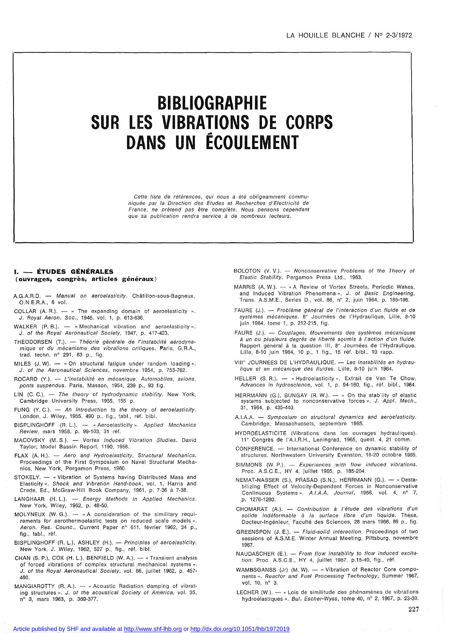# **BIBLIOGRAPH1E SUR LES VIBRATIONS DE CORPS DANS UN ÉCOULEMENT**

Cette liste de références, qui nous a été obligeamment communiquée par la Direction des Etudes et Recherches d'Electricité de France, ne prétend pas être complète. Nous pensons cependant que sa publication rendra service à de nombreux lecteurs.

## **1. - ÉTUDES GÉNÉRALES (ouvrages, congrès, articles généraux)**

- A.G.A.R.D. Manual on aeroelasticity. Châtillon-sous-Bagneux, O.N.E.R.A., 6 vol.
- COLLAR (A. R.).  $-$  « The expanding domain of aeroelasticity ». J. Royal Aeron. Soc., 1946, vol. 1, p. 613-636.
- WALKER  $(P. B.)$ .  $-$  «Mechanical vibration and aeroelasticity». J. of the Royal Aeronautical Society, 1947, p. 417-423.
- THEODORSEN (T.). Théorie générale de l'instabilité aérodynamique et du mécanisme des vibrations critiques. Paris, G.R.A., trad. techn. n° 291, 63 p., fig.
- MILES  $(J. W)$ .  $-$  « On structural fatigue under random loading ». J. of the Aeronautical Sciences, novembre 1954, p. 753-762.
- ROCARD (Y.). L'instabilité en mécanique. Automobiles, avions. ponts suspendus. Paris, Masson, 1954, 239 p., 93 fig.
- LIN (C. C.).  $-$  The theory of hydrodynamic stability. New York, Cambridge University Press, 1955, 155 p.
- FUNG (Y. C.).  $-$  An introduction to the theory of aeroelasticity. London, J. Wiley, 1955, 490 p., fig., tabl., réf. bibl.
- BISPLINGHOFF (R. L.). « Aeroelasticity ». Applied Mechanics Review, mars 1958, p. 99-103, 31 réf.
- MACOVSKY (M.S.). Vortex Induced Vibration Studies. David Taylor, Model Bassin Report, 1190, 1958.
- $FLAX$  (A. H.).  $-$  Aero and Hydroelasticity, Structural Mechanics. Proceedings of the First Symposium on Naval Structural Mechanies, New York, Pergamon Press, 1960.
- STOKELY. « Vibration of Systems having Distributed Mass and Elasticity ». Shock and Vibration Hand-book, vol. 1, Harris and Crede, Ed., McGraw-Hill Book Company, 1961, p. 7-36 à 7-38.
- LANGHAAR (H. L.). Energy Methods in Applied Mechanics. New York, Wiley, 1962, p. 48-50.
- MOLYNEUX (W. G.).  $-$  « A consideration of the similitary requirements for aerothermoelastic tests on reduced scale models ». Aeron. Res. Counc., Current Paper n° 611, février 1962, 34 p., fig., tabl., réf.
- BISPLINGHOFF (R. L.), ASHLEY (H.). Principles of aeroelasticity. New York, J. Wiley, 1962, 527 p., fig., réf. bibl.
- CHAN (S. P.), COX (H. L.), BENFIELD (W. A.).  $-$  « Transient analysis of forced vibrations of complex structural mechanical systems ». J. of the Royal Aeronautical Society, vol. 66, juillet 1962, p. 457- 460.
- MANGIAROTTY (R. A.). « Acoustic Radiation damping of vibrating structures ». J. of the acoustical Society of America, vol. 35, n° 3, mars 1963, p. 369-377.
- BOLOTON (V. V.).  $-$  Nonconservative Problems of the Theory of Elastic Stability. Pergamon Press Lld., 1963.
- MARRIS (A. W.). « A Review of Vortex Streets, Periodic Wakes, and Induced Vibration Phenomena». J. of Basic Engineering, Trans. A.S.M.E., Series D., vol. 86, n° 2, juin 1964, p. 185-196.
- FAURE (J.). Problème général de l'interaction d'un fluide et de systèmes mécaniques. 8" Journées de l'Hydraulique, Lille, 8-10 juin 1964, tome 1, p. 212-215, fig.
- FAURE (J.). Couplages. Mouvements des systèmes mécaniques à un ou plusieurs degrés de liberté soumis à l'action d'un fluide. Rapport général à la question III, 8" Journées de l'Hydraulique, Lille, 8-10 juin 1964, 10 p., 1 fig., 15 réf. bibl., 10 rapp.
- VIII" JOURNÉES DE L'HYDRAULIQUE. Les instabilités en hydraulique et en mécanique des fluides. Lille, 8-10 ju'n 1964.
- HELLER (S. R.). « Hydroelasticity ». Extrait de Ven Te Chow, Advances in hydroscience, vol. 1, p. 94-160, fig., réf. bibl., 1964.
- HERRMANN (G.), BUNGAY (R. W.).  $-$  « On the stability of elastic systems subjected to nonconservative forces ». J. Appl. Mech., 31, 1964, p. 435-440.
- A.I.A.A. Symposium on structural dynamics and aeroelasticity. Cambridge, Massachussets, septembre 1965.
- HYDROÉLASTICITÉ (Vibrations dans les ouvrages hydrauliques). 11" Congrès de l'A.I.R.H., Leningrad, 1965, quest. 4, 21 comm.
- CONFERENCE. International Conference on dynamic stability of structures. Northwestern University Evanston, 18-20 octobre 1965.
- SIMMONS (W. P.).  $-$  Experiences with flow induced vibrations. Proc. A.S.C.E., HY 4, juillet 1965, p. 185-204.
- NEMAT-NASSER (S.), PRASAD (S.N.), HERRMANN (G.). « Destabilizing Effect of Velocity-Dependent Forces in Nonconservative Continuous Systems». A.I.A.A. Journal, 1966, vol. 4, nº 7, p. 1276-1280.
- CHOMARAT (A.). Contribution à l'étude des vibrations d'un solide indéformable à la surface libre d'un liquide. Thèse, Docteur-Ingénieur, Faculté des Sciences, 28 mars 1966, 89 p., fig.
- GREENSPON (J. E.). Fluid-solid interaction. Proceedings of two sessions of A.S.M.E. Winter Annual Meeting, Pittsburg, novembre 1967.
- NAUDASCHER (E.).  $-$  From flow instability to flow induced excitation. Proc. A.S.C.E., HY 4, juillet 1967, p.15-40, fig., réf.
- WAMBSGANSS (Jr) (M. W). « Vibration of Reactor Core components ». Reactor and Fuel Processing Technology, Summer 1967, vol. 10, n° 3.
- LECHER (W.). « Lois de similitude des phénomènes de vibrations hydroélastiques ». BuJ. Escher-Wyss, tome 40, n° 2, 1967, p. 23-30.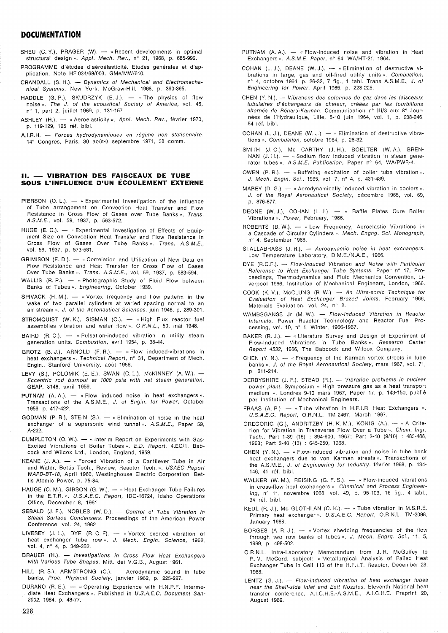## **DOCUMENTATION**

- SHEU (C. Y.), PRAGER (W).  $-$  « Recent developments in optimal structural design». Appl. Mech. Rev., nº 21, 1968, p. 685-992.
- PROGRAMME d'études d'aéroélasticité. Etudes générales et d'application. Note HF 034/69/003. GMe/MW/610.
- CRANDALL (S. H.). Dynamics of Mechanical and Electromechanical Systems. New York, McGraw-Hill, 1968, p. 390-395.
- HADDLE (G. P.), SKUDRZYK (E. J.).  $-$  «The physics of flow noise ». The  $J.$  of the acoustical Society of America, vol. 46, n" 1, part 2, juillet 1969, p. 131-157.
- ASHLEY (H.). « Aeroelasticity ». Appl. Mech. Rev., février 1970, p. 119-129, 125 réf. bibl.
- A.I.R.H. Forces hydrodynamiques en régime non stationnaire. 14" Congrès, Paris, 30 août-3 septembre 1971, 38 comm.

## **Il. - VIBRATION DES FAISCEAUX DE TUBE SOUS L'INFLUENCE D'UN ÉCOULEMENT EXTERNE**

- PIERSON (O. L.).  $-$  « Experimental Investigation of the Influence of Tube arrangement on Convection Heat Transfer and Flow Resistance in Cross Flow of Gases over Tube Banks». Trans. AS.M.E., vol. 59, 1937, p. 563-572.
- HUGE (E. C.).  $-$  « Experimental Investigation of Effects of Equipment Size on Convection Heat Transfer and Flow Resistance in Cross Flow of Gases Over Tube Banks». Trans. A.S.M.E., vol. 59, 1937, p. 573-581.
- GRIMISON (E. D.). « Correlation and Utilization of New Data on Flow Resistance and Heat Transfer for Cross Flow of Gases Over Tube Banks ». Trans. A.S.M.E., vol. 59, 1937, p. 583-594.
- WALLIS (R. P.). « Photographic Study of Fluid Flow between Banks of Tubes». Engineering, October 1939.
- SPIVACK  $(H. M.)$ .  $-$  « Vortex frequency and flow patterm in the wake of two parallel cylinders at varied spacing normal to an air stream ». J. of the Aeronautical Sciences, juin 1946, p. 289-301.
- STROMQUIST (W. K.), SISMAN (O.).  $-$  «High Flux reactor fuel assemblies vibration and water flow». O.R.N.L., 50, mai 1948.
- $BAIRD$   $(R. C.).$  « Pulsation-induced vibration in utility steam generation units. Combustion, avril 1954, p. 38-44.
- GROTZ  $(B. J.),$  ARNOLD  $(F. R.).$  « Flow induced-vibrations in heat exchangers ». Technical Report, nº 31, Department of Mech. Engin., Stanford University, août 1956.
- LEVY (S.), POLOMIK (E. E.), SWAN (C. L.), McKINNEY (A. W.).  $-$ Eccentric rod burnout at 1000 psia with net steam generation. GEAP, 3148, avril 1959.
- PUTNAM  $(A, A)$ .  $-$  « Flow induced noise in heat exchangers ». Transactions of the A.S.M.E., J. of Engin. for Power, October 1959, p. 417-422.
- GODMAN (P. R.), STEIN (S.).  $-$  « Elimination of noise in the heat exchanger of a supersonic wind tunnel». A.S.M.E., Paper 59, A-232.
- DUMPLETON (O. W.).  $-$  « Interim Report on Experiments with Gas-Excited Vibrations of Boiler Tubes». E.D. Report. 4.EC/1, Babcock and Wilcox ltd., London, England, 1959.
- KEANE (J. A.).  $-$  « Forced Vibration of a Cantilever Tube in Air and Water, Bettis Tech., Review, Reactor Tech. ». USAEC Report WAPD-BT-18, April 1960, Westinghouse Electric Corporation, Bettis Atomic Power, p. 75-84.
- HAUGE (O. M.), GIBSON (G. W.). « Heat Exchanger Tube Failures in the E.T.R. ». U.S.A.E.C. Report, IDO-16724, Idaho Operations Office, December 8, 1961.
- SEBALD (J. F.), NOBLES (W. D.). Control of Tube Vibration in Steam Surface Condensers. Proceedings of the Amerlcan Power Conference, vol. 24, 1962.
- LIVESEY (J. L.), DYE (R. C. F). «Vortex excited vibration of heat exchanger tube row». J. Mech. Engin. Science, 1962, vol. 4, n° 4, p. 349-352.
- BRAUER (H.). Investigations in Cross Flow Heat Exchangers with Various Tube Shapes. Mitt. dei V.G.B., August 1961.
- HILL (R. S.), ARMSTRONG (C.). Aerodynamic sound in tube banks, Proc. Physical Society, janvier 1962, p. 225-227.
- DURANO (R. E.). « Operating Experience with H.N.P.F. Intermediate Heat Exchangers ». Published in U.S.A.E.C. Document San-8002, 1964, p. 48-77.
- PUTNAM  $(A. A.)$ .  $-$  « Flow-Induced noise and vibration in Heat Exchangers ». A.S.M.E. Paper, nº 64, WA/HT-21, 1964.
- COHAN (L. J.), DEANE (W. J.). « Elimination of destructive vibrations in large, gas and oil-fired utility units». Combustion. n° 4, octobre 1964, p. 26-32, 7 fig., 1 tabl. Trans A.S.M.E., J. of Engineering for Power, April 1965, p. 223-225.
- CHEN (Y. N.). Vibrations des colonnes de gaz dans les faisceaux tubulaires d'échangeurs de chaleur, créées par les fourbillons alternés de Bénard-Karman. Communication n° 111/3 aux 8' Journées de l'Hydraulique, Lille, 8-10 juin 1964, vol. 1, p. 238-246, 54 réf. bibl.
- COHAN (L. J.), DEANE (W. J.).  $-$  « Elimination of destructive vibrations ». Combustion, octobre 1964, p. 26-32.
- SMITH (J. O.). Mc CARTHY (J. H.), BOELTER (W. A.). BREN-NAN  $(J. H.)$ .  $-$  « Sodium flow induced vibration in steam generator tubes ». A.S.M.E. Publication, Paper nº 64, WA/PWR-4.
- OWEN (P. R.).  $-$  « Buffeting excitation of boiler tube vibration ». J. Mech. Engin. Sei., 1965, vol. 7, n° 4, p. 431-439.
- MABEY (D. G.).  $-$  « Aerodynamically induced vibration in coolers ». J. of the Royal Aeronautical Society, décembre 1965, vol. 69, p. 876-877.
- DEONE (W. J.), COHAN (L. J.).  $-$  « Baffle Plates Cure Boiler Vibrations ». Power, February, 1966.
- ROBERTS (B. W.). « Low Frequency, Aeroelastic Vibrations in a Cascade of Circular Cylinders ». Mech. Engng. Sci. Monograph, n" 4, September 1966.
- STALLABRASS (J. R.). Aerodynamic noise in heat exchangers. Low Temperature Laboratory, D.M.E./N.A.E., 1966.
- $DYE$  (R.C.F.).  $-$  Flow-induced Vibration and Noise with Particular Reference to Heat Exchanger Tube Systems. Paper nº 17, Proceedings, Thermodynamics and Fluid Mechanics Convention, liverpool 1966, Institution of Mechanical Engineers, London, 1966.
- COOK (K. V.), McCLUNG (R. W.). An Ultra-sonic Technique for Evaluation of Heat Exchanger Brazed Joints. February 1966, Materials Evaluation, vol. 24, n" 2.
- WAMBSGANSS Jr (M. W.). Flow-Induced Vibration in Reactor Internals, Power Reactor Technology and Reactor Fuel Processing, vol. 10, n" 1, Winter, 1966-1967.
- BAKER (R. J.). « Literature Survey and Design of Experiment of Flow-Induced Vibrations in Tube Banks». Research Center Report 4532, 1966, The Babcock and Wilcox Company.
- CHEN  $(Y. N.)$ . « Frequency of the Karman vortex streets in tube banks ». J. of the Royal Aeronautical Society, mars 1967, vol. 71, p. 211-214.
- DERBYSHIRE (J. F.), STEAD (R.). Vibration problems in nuclear power plant. Symposium « High pressure gas as a heat transport medium ». Londres 9-10 mars 1967, Paper 17, p. 143-150, publié par Institution of Mechanical Engineers.
- FRAAS (A. P.).  $-$  «Tube vibration in H.F.I.R. Heat Exchangers ». U.S.AE.C. Report, O.R.N.L. TM-2467, March 1967.
- GREGORIG (G.), ANDRITZBY (H. K. M.), KÖNIG (A.). «A Criterion for Vibration in Transverse Flow Over a Tube ». Chem. Ingr. Tech., Part 1-39 (15) : 894-900, 1967; Part 2-40 (9/10) : 483-488, 1968; Part 3-40 (13) : 645-650, 1968.
- CHEN  $(Y, N)$ .  $-$  « Flow-induced vibration and noise in tube bank heat exchangers due to von Karman streets». Transactions of the A.S.M.E., J. of Engineering for Industry. février 1968, p. 134- 146, 41 réf. bibl.
- WALKER (W. M.), REISING (G. F. S.).  $-$  « Flow-induced vibrations in cross-flow heat exchangers ». Chemical and Process Engineering, n° 11, novembre 1968, vol. 49, p. 95-103, 16 fig., 4 tabl., 34 réf. bibl.
- KEDL (R. J.), Mc GLOTHLAN (C. K.). « Tube vibration in M.S.R.E. Primary heat exchanger». U.S.A.E.C. Report, O.R.N.L. TM-2098, January 1968.
- BORGES (A. R. J.).  $-$  « Vortex shedding frequencies of the flow through two row banks of tubes ». J. Mech. Engrg. Sci., 11, 5, 1969, p. 498-502.
- O.R.N.L. Intra-Laboratory Memorandum from J. R. McGuffey to R. V. McCord, subject: « Metallurgical Analysis of Failed Heat Exchanger Tube in Cell 113 of the H.F.I.T. Reactor, December 23, 1968.
- LENTZ  $(G. J.)$ . Flow-induced vibration of heat exchanger tubes near the Shell-side Inlet and Exit Nozzles. Eleventh National heat transfer conference, A.I.C.H.E.-A.S.M.E., A.I.C.H.E. Preprint 20, August 1969.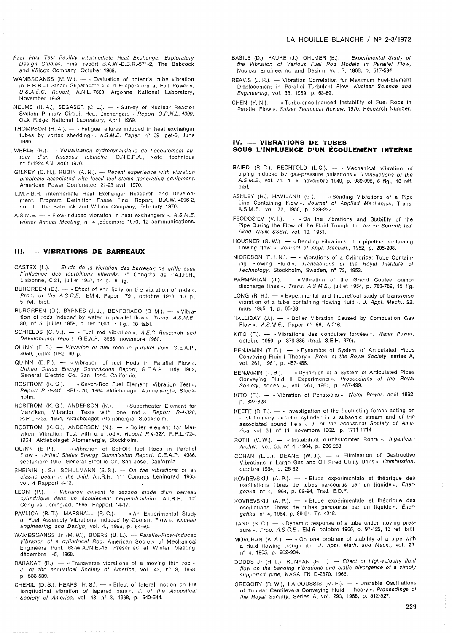- Fast Flux Test Facility Intermediate Heat Exchanger Exploratory Design Studies. Final report B.A.W.-D.B.R.-571-2, The Babcock and Wilcox Company, October 1969.
- WAMBSGANSS  $(M, W)$ .  $-$  « Evaluation of potential tube vibration in E.B.R.-II Steam Superheaters and Evaporators at Full Power». U.S.A.E.C. Report, A.N.L.-7600, Argonne National Laboratory, November 1969.
- NELMS (H. A.), SEGASER (C. L.). « Survey of Nuclear Reactor System Primary Circuit Heat Exchangers » Report O.R.N.L.-4399, Oak Ridge National Laboratory, April 1969.
- THOMPSON (H. A.).  $-$  « Fatigue failures induced in heat exchanger tubes by vortex shedding ». A.S.M.E. Paper, nº 69, pet-6, June 1969.
- WERLE (H.). Visualisation hydrodynamique de l'écoulement autour d'un faisceau tubulaire. O.N.E.R.A., Note technique n° 5/1224 AN, août 1970.
- GILKEY (C. H.), RUBIN (A. N.). Recent experience with vibration problems associated with fossil tuel steam generating equipment. American Power Conference, 21-23 avril 1970.
- L.M.F.B.R. Intermediate Heat Exchanger Research and Development. Program Definition Phase Final Report, B.A.W.-4006-2, vol. Il, The Babcock and Wilcox Company, February 1970.
- A.S.M.E.  $-$  « Flow-induced vibration in heat exchangers ». A.S.M.E. winter Annual Meeting, nº 4 ,décembre 1970, 12 communications.

#### **III. - VIBRATIONS DE BARREAUX**

- $CASTEX$  (L.). Etude de la vibration des barreaux de grille sous l'influence des tourbillons alternés. 7' Congrès de l'A.I.R.H., Lisbonne, C 21, juillet 1957, 14 p., 8 fig.
- BURGREEN (D.).  $-$  « Effect of end fixity on the vibration of rods ». Proc. of the A.S.C.E., EM 4, Paper 1791, octobre 1958, 10 p., 5 réf. bibl.
- BURGREEN (D.), BYRNES (J. J.), BENFORADO (D. M.). « Vibration of rods induced by water in parallel flow ». Trans. A.S.M.E.. 80, n° 5, juillet 1958, p. 991-1003, 7 fig., 10 tabl.
- SCHIELDS  $(C. M.) = «$  Fuel rod vibration ». A.E.C Research and Development report, G.E.A.P., 3583, novembre 1960.
- $QUINN$  (E. P.).  $-$  Vibration of fuel rods in parallel flow. G.E.A.P., 4059, juillet 1962, 99 p.
- $QUINN$  (E. P.).  $-$  « Vibration of fuel Rods in Parallel Flow ». United States Energy Commission Report, G.E.A.P., July 1962, General Electric Co. San José, California.
- ROSTROM (K. G.). « Seven-Rod Fuel Element. Vibration Test », Report R 4-341. RPL-726, 1964 Aktiebolaget Atomenergie, Stockholm.
- ROSTROM (K. G.), ANDERSON (N.). -- « Superheater Element for Marviken, Vibration Tests with one rod». Report R-4-328, R.P.L.-725, 1964, Aktiebolaget Atomenergie, Stockholm.
- ROSTROM (K. G.), ANDERSON  $(N.)$ . « Boiler element for Marviken, Vibration Test with one rod ». Report R 4-327, R.P.L.-724, 1964, Aktiebolaget Atomenergie, Stockholm.
- QUINN (E. P.). « Vibration of SEFOR fuel Rods in Parallel<br>Flow ». United States Energy Commission Report, G.E.A.P., 4966, septembre 1965, General Electric Co. San José, California.
- SHEININ (I. S.), SCHULMANN (S. S.).  $-$  On the vibrations of an elastic beam in the fluid. A.I.R.H., 11<sup>e</sup> Congrès Leningrad, 1965, vol. 4 Rapport 4-12.
- LEON (P.). Vibration suivant le second mode d'un barreau cylindrique dans un écoulement perpendiculaire. A.I.R.H., 11' Congrès Leningrad, 1965, Rapport 14-17.
- PAVLICA (R. T.), MARSHALL (R. C.). « An Experimental Study of Fuel Assembly Vibrations Induced by Coolant Flow ». Nuclear Engineering and Design, vol. 4., 1966, p. 54-60.
- WAMBSGANSS Jr (M. W.), BOERS (B. L.). Parallel-Flow-Induced Vibration of a cylindrical Rod. American Society of Mechanical Eng'ineers Publ. 68-W.A./N.E.-15, Presented at Winter Meeting, décembre 1-5, 1968.
- BARAKAT (R.).  $-$  « Transverse vibrations of a moving thin rod ». J. of the acoustical Society of America, vol. 43, n° 3, 1968, p. 533-539.
- CHEHIL (D. S.), HEAPS (H. S.). « Effect of lateral motion on the longitudinal vibration of tapered bars». J. of the Acoustical Society of America. vol. 43, n° 3, 1968, p. 540-544.
- BASILE (D.), FAURE (J.), OHLMER (E.). Experimental Study of the Vibration of Various Fuel Rod Models in Parallel Flow, Nuclear Engineering and Design, vol. 7, 1968, p. 517-534.
- REAVIS (J. R.). Vibration Correlation for Maximum Fuel-Element Displacement in Parallel Turbulent Flow, Nuclear Science and Engineering, vol. 38, 1969, p. 63-69.
- CHEN  $(Y, N)$ .  $-$  « Turbulence-Induced Instability of Fuel Rods in Parallel Flow ». Sulzer Technical Review, 1970, Research Number.

#### **IV. - VIBRATIONS DE TUBES SOUS L'INFLUENCE D'UN ÉCOULEMENT INTERNE**

- BAIRD (R. C.), BECHTOLD (I. C.). « Mechanical vibration of piping induced by gas-pressure pulsations ». Transactions of the AS.M.E., vol. 71, n° 8, novembre 1949, p. 989-995, 6 fig., 10 réf. bibl.
- ASHLEY (H.), HAVILAND (G.).  $-$  « Bending Vibrations of a Pipe Line Containing Flow». Journal of Applied Mechanics, Trans. A.S.M.E., vol. 72, 1950, p. 229-232.
- FEODOS'EV  $(V. 1.)$ .  $-$  « On the vibrations and Stability of the Pipe During the Flow of the Fluid Trough It ». Inzern Sbornik Izd. Akad. Nauk SSSR, vol. 10, 1951.
- HOUSNER  $(G, W)$ .  $\longrightarrow$  « Bending vibrations of a pipeline containing flowing flow ». Journal of Appl. Mechan., 1952, p. 205-208.
- NIORDSON  $(F. I. N.)$ .  $-$  « Vibrations of a Cylindrical Tube Containing Flowing Fluid ». Transactions of the Royal Institute of Technology, Stockholm, Sweden, n° 73, 1953.
- PARMAKIAN (J.). « Vibration of the Grand Coulee pumpdischarge lines ». Trans. A.S.M.E., juillet 1954, p. 783-789, 15 fig.
- LONG (R. H.).  $-$  « Experimental and theoretical study of transverse vibration of a tube containing flowing fluid ». J. Appl. Mech., 22, mars 1955, 1, p. 65-68.
- HALLIDAY (J.). « Boiler Vibration Caused by Combustion Gas Flow ». A.S.M.E., Paper nº 56, A 216.
- KITO (F.). « Vibrations des conduites forcées ». Water Power, octobre 1959, p. 379-385 (trad. S.E.H. 870).
- BENJAMIN (T. B.). « Dynamics of System of Articulated Pipes Conveying Fluid-I Theory ». Proc. of the Royal Society, series A, vol. 261, 1961, p. 457-486.
- BENJAMIN  $(T. B.)$ .  $-$  « Dynamics of a System of Articulated Pipes Conveying Fluid II Experiments ». Proceedings of the Royal Society, series A, vol. 261, 1961, p. 487-499.
- KITO (F.). « Vibration of Penstocks ». Water Power, août 1962, p. 327-328.
- KEEFE (R. T.).  $-$  « Investigation of the fluctuating forces acting on a stationnary circular cylinder in a subsonic stream and of the associated sound fiels ». J. of the acoustical Society of America, vol. 34, n° 11, novembre 1962., p. 1711-1714.
- ROTH (V. W.). « Instabilitat durchstromter Rohre ». Ingenieur-Archiv., vol. 33, nº 4, 1964, p. 236-263.
- COHAN (L. J.), DEANE (W. J.). « Elimination of Destructive Vibrations in Large Gas and Oil Fired Utility Units ». Combustion. octobre 1964, p. 26-32.
- KOVREVSKIJ (A. P.). « Etude expérimentale et théorique des oscillations libres de tubes parcourus par un liquide». Energetika, n° 4, 1964, p. 89-94, Trad. E.D.F.
- KOVREVSKIJ (A. P.). « Etude expérimentale et théorique des oscillations libres de tubes parcourus par un liquide». Energetika, n° 4, 1964, p. 89-94, Tr. 4218.
- TANG  $(S, C)$ .  $-$  « Dynamic response of a tube under moving pressure ». Proc. A.S.C.E., EM 5, octobre 1965, p. 97-122, 13 réf. bibl.
- MOVCHAN  $(A, A)$ .  $-$  « On one problem of stability of a pipe with a fluid flowing trough it ». J. Appl. Math. and Mech., vol. 29, n° 4, 1965, p. 902-904.
- DODDS Jr (H. L.), RUNYAN (H. L.). Effect of high-velocity fluid tlow on the bending vibrations and static divergence of a simply supported pipe, NASA TN D-2870, 1965.
- GREGORY (R. W.), PAIDOUSSIS (M. P.). « Unstable Oscillations of Tubular Cantilevers Conveying Fluid-I Theory ». Proceedings of the Royal Society, Series A, vol. 293, 1966, p. 512-527.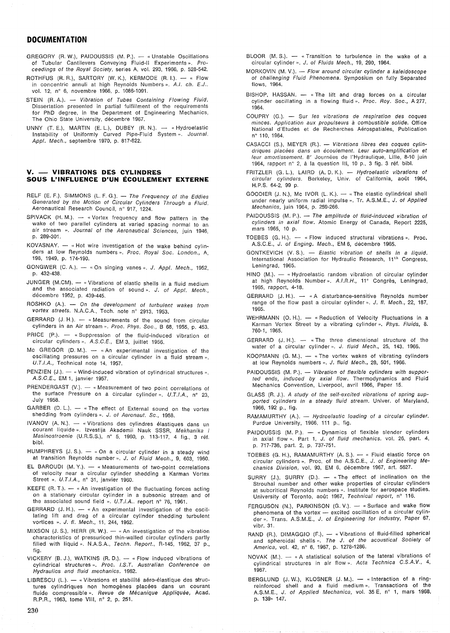# **DOCUMENTATION**

- GREGORY (R. W.), PAIDOUSSIS (M. P.). « Unstable Oscillations of Tubular Cantilevers Conveying Fluid-II Experiments». Proceedings 01 the Royal Society, series A, vol. 293, 1966, p. 528-542.
- ROTHFUS (R. R.), SARTORY (W. K.), KERMODE (R. I.).  $-$  « Flow in concentric annuli at high Reynolds Numbers ». A.I. ch. E.J.. vol. 12, n" 6, novembre 1966, p. 1086-1091.
- STEIN (R. A.). Vibration of Tubes Containing Flowing Fluid. Dissertation presented in partial fulfillment of the requirements for PhD degree, in the Department of Engineering Mechanics, The Ohio State University, décembre 1967.
- UNNY (T. E.), MARTIN (E. L.), DUBEY (R. N.). « Hydroelastic Instability of Uniformly Curved Pipe-Fluid System ». Journal. Appl. Mech., septembre 1970, p. 817-822.

## **V. - VIBRATIONS DES CYLINDRES SOUS L'INFLUENCE D'UN ÉCOULEMENT EXTERNE**

- RELF (E. F.), SIMMONS (L. F. G.). The Frequency of the Eddies Generated by the Motion of Circular Cylinders Through a Fluid. Aeronautical Research Council, n" 917, 1224.
- SPIVACK  $(H. M.)$ .  $-$  « Vortex frequency and flow pattern in the wake of two parallel cylinders at varied spacing normal to an air stream ». Journal of the Aeronautical Sciences, juin 1946, p. 289-301.
- $KOVASNAY. -$  «Hot wire investigation of the wake behind cylinders at low Reynolds numbers ». Proc. Royal Soc. London., A, 198, 1949, p. 174-190.
- GONGWER (C. A.).  $-$  « On singing vanes ». J. Appl. Mech., 1952, p. 432-438.
- JUNGER (M.CM). « Vibrations of elastic shells in a fluid medium and the associated radiation of sound ». J. of Appl. Mech., décembre 1952, p. 439-445.
- ROSHKO (A.). On the development of turbulent wakes from vortex streets. N.A.C.A., Tech. note nº 2913, 1953.
- GERRARD  $(J. H.)$ .  $-$  « Measurements of the sound from circular cylinders in an Air stream ». Proc. Phys. Soc., B 68, 1955, p. 453.
- PRICE (P.). « Suppression of the fluid-induced vibration of circular cylinders». A.S.C.E., EM 3, juillet 1956.
- Mc GREGOR (D. M.).  $-$  «An experimental investigation of the oscillating pressures on a circular cylinder in a fluid stream ». V.T.I.A., Technical note 14, 1957.
- PENZIEN  $(J)$ .  $-$  « Wind-induced vibration of cylindrical structures ». A.S.C.E., EM 1, janvier 1957.
- PRENDERGAST  $(V.) -$  « Measurement of two point correlations of the surface Pressure on a circular cylinder ».  $U.T.I.A., n° 23,$ July 1958.
- GARBER (D. L.).  $-$  « The effect of External sound on the vortex shedding from cylinders ». J. of Aeronaut. Sc., 1958.
- IVANOV (A. N.). « Vibrations des cylindres élastiques dans un courant liquide". Izvestija Akademii Nauk SSSR, Mekhanika i Masinostroenie (U.R.S.S.), n" 5, 1960, p. 113-117, 4 fig., 3 réf. bibl.
- HUMPHREYS (J. S.).  $-$  « On a circular cylinder in a steady wind at transition Reynolds number». J. of Fluid Mech., 9, 603, 1960.
- EL BAROUDI (M.Y.).  $-$  « Measurements of two-point correlations of velocity near a circular cylinder shedding a Karman Vortex Street ». U.T.I.A., nº 31, janvier 1960.
- KEEFE (R. T.).  $-$  « An investigation of the fluctuating forces acting on a stationary circular cylinder in a subsonic stream and of the associated sound field ».  $U.T.I.A..$  report n° 76, 1961.
- GERRARD (J. H.). « An experimental investigation of the oscillating lift and drag of a circular cylinder shedding turbulent vortices ». J. fl. Mech., 11, 244, 1962.
- MIXSON (J. S.), HERR (R. W.).  $-$  « An investigation of the vibration characteristics of pressuriced thin-walled circular cylinders partly filled with liquid ». N.A.S.A., Techn. Report., R-145, 1962, 37 p., fig.
- VICKERY (B. J.), WATKINS (R. D.). « Flow induced vibrations of cylindrical structures». Proc. I.S.T. Australian Conference on Hydraulics and fluid mechanics. 1962.
- LIBRESCU (L.). « Vibrations et stabilité aéro-élastique des structures cylindriques non homogènes placées dans un courant fluide compressible». Revue de Mécanique Appliquée, Acad. R.P.R., 1963, tome VIII, n° 2, p. 251.
- BLOOR (M. S.).  $-$  « Transition to turbulence in the wake of a circular cylinder ». J. of Fluids Mech., 19, 290, 1964.
- MORKOVIN (M. V.). Flow around circular cylinder a kaleidoscope of challenging Fluid Phenomena. Symposium on fully Separated flows, 1964.
- BISHOP, HASSAN. « The lift and drag forces on a circular cylinder oscillating in a flowing fluid ». Proc. Roy. Soc., A 277, 1964.
- COUPRY (G.). Sur les vibrations de respiration des coques minces. Application aux propulseurs à combustible solide. Office National d'Etudes et de Recherches Aérospatiales, Publication n" 110, 1964.
- CASACCI (S.), MEYER (R.). Vibrations libres des coques cylindriques placées dans un écoulement. Leur auto-amplification et leur amortissement. 8" Journées de l'Hydraulique, Lille, 8-10 juin 1964, rapport n" 2, à la question III, 10 p., 3 fig. 3 réf. bibl.
- FRITZLER (G. L.), LAIRD (A. D. K.). Hydroelastic vibrations of circular cylinders. Berkeley, Univ. of California, août 1964, H.P.S. 64-2, 99 p.
- GOODIER (J. N.), Mc IVOR (L. K.).  $-$  « The elastic cylindrical shell under nearly uniform radial impulse ». Tr. A.S.M.E., J. of Applied Mechanics, juin 1964, p. 259-266.
- PAIDOUSSIS (M. P.).  $-$  The amplitude of fluid-induced vibration of cylinders in axial flow. Atomic Energy of Canada, Report 2225, mars 1965, 10 p.
- TOEBES (G. H.).  $-$  « Flow induced structural vibrations ». Proc. A.S.C.E., J. 01 Enging. Mech., EM 6, décembre 1965.
- GONTKEVICH (V. S.). Elastic vibration of shells in a liquid. International Association for Hydraulic Research, 11'h Congress, Leningrad, 1965.
- $HINO (M.). «Hydroelastic random vibration of circular cylinder$ at high Reynolds Number». A.I.R.H., 11<sup>e</sup> Congrès, Leningrad, 1965, rapport, 4-18.
- GERRARD (J. H.). « A disturbance-sensitive Reynolds number range of the flow past a circular cylinder ». J. fl. Mech., 22, 187, 1965.
- WEHRMANN (O. H.).  $-$  « Reduction of Velocity Fluctuations in a Karman Vortex Street by a vibrating cylinder». Phys. Fluids, 8. 760-1, 1965.
- GERRARD (J. H.).  $-$  « The three dimensional structure of the water of a circular cylinder». J. fluid Mech., 25, 143. 1966.
- KOOPMANN  $(G. M.)$ . « The vortex wakes of vibrating cylinders at low Reynolds numbers ». J. fluid Mech., 28, 501, 1966.
- PAIDOUSSIS (M. P.). Vibration of flexible cylinders with supported ends, induced by axial flow. Thermodynamics and Fluid Mechanics Convention, Liverpool, avril 1966, Paper 15.
- GLASS (R. J.). A study of the self-excited vibrations of spring supported cylinders in a steady fluid stream. Univer. of Maryland, 1966, 192 p., fig.
- RAMAMURTHY (A.). Hydroelastic loading of a circular cylinder. Purdue University, 1966, 111 p., fig.
- PAIDOUSSIS (M. P.). « Dynamics of flexible slender cylinders in axial flow ». Part 1, *J. of fluid mechanics.* vol. 26, part. 4, p. 717-736, part. 2, p. 737-751.
- TOEBES (G. H.), RAMAMURTHY (A. S.).  $-$  « Fluid elastic force on circular cylinders ». Proc. of the A.S.C.E., J. of Engineering Mechanics Division, vol. 93, EM 6, décembre 1967, art. 5627.
- SURRY (J.), SURRY (D.).  $-$  «The effect of inclination on the Strouhal number and other wake properties of circular cylinders at subcritical Reynolds numbers ». Institute for aerospace studies. University of Toronto, août 1967, Technical report, n° 116.
- FERGUSON (N.), PARKINSON (G. V.). « Surface and wake flow phenomena of the vortex  $-$  excited oscillation of a circular cylinder ». Trans. A.S.M.E., J. of Engineering for Industry, Paper 67, vibr. 31.
- RAND (R.), DIMAGGIO (F.). « Vibrations of fluid-filled spherical and spheroidal shells ». The J. of the acoustical Society of America, vol. 42, nº 6, 1967, p. 1278-1286.
- NOVAK (M.).  $-$  « A statistical solution of the lateral vibrations of cylindrical structures in air flow». Acta Technica C.S.A.V., 4, 1967.
- BERGLUND (J.W.), KLOSNER (J.M.). «Interaction of a ringreinforced shell and a fluid medium». Transactions of the A.S.M.E., J. 01 Applied Mechanics, vol. 35 E, n° 1, mars 1968, p. 139- 147.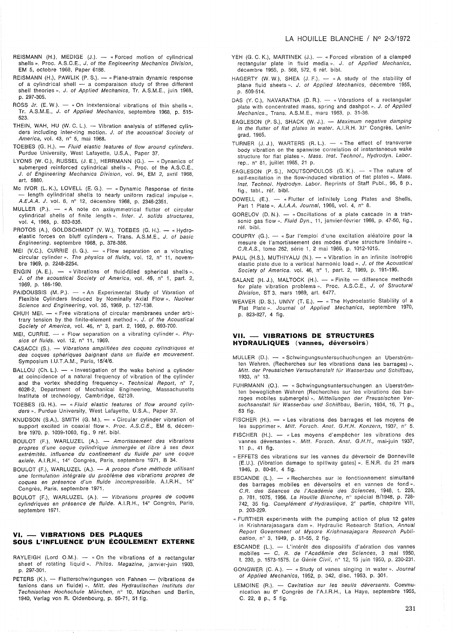- REISMANN (H.), MEDIGE (J.).  $-$  «Forced motion of cylindrical shells ». Proc. A.S.C.E., J. of the Engineering Mechanics Division, EM 5, octobre 1968, Paper 6188.
- REISMANN (H.), PAWLIK (P. S.). « Plane-strain dynamic response of a cylindrical shell  $-$  a comparaison study of three different shell theories ». J. of Applied Mechanics, Tr. A.S.M.E., juin 1968, p. 297-305.
- ROSS Jr. (E. W.).  $-$  « On inextensional vibrations of thin shells ». Tr. AS.M.E., J. of Applied Mechanics, septembre 1968, p. 515- 523.
- THEIN, WAH, HU (W. C. L.). Vibration analysis of stiffened cylinders including inter-ring motion. J. of the acoustical Society of America, vol. 43, n° 5, mai 1968.
- TOEBES (G. H.). Fluid elastic features of flow around cylinders. Purdue University, West Lafayette, U.S.A., Paper 37.
- LYONS (W. C.), RUSSEL (J. E.), HERRMANN (G.).  $-$  « Dynamics of submerged reinforced cylindrical shells ». Proc. of the A.S.C.E., J. of Engineering Mechanics Division, vol. 94, EM 2, avril 1968, art. 5880.
- Mc IVOR  $(L, K)$ , LOVELL  $(E, G)$ .  $-$  « Dynamic Response of finite - length cylindrical shells to nearly uniform radical impulse ». A.E.A.A. J. vol. 6, n° 12, décembre 1968, p. 2346-2351.
- $MULLER (P.). *A note on axisymmetrical filter of circular$ cylindrical shells of finite length ». Inter. J. solids structures, vol. 4, 1968, p. 833-835.
- PROTOS (A.), GOLDSCHMIDT (V.W.), TOEBES (G.H.). « Hydroelastic forces on bluff cylinders ». Trans. A.S.M.E., J. of basic Engineering. septembre 1968, p. 378-386.
- MEI (V.C.), CURRIE (I.G.).  $-$  « Flow separation on a vibrating circular cylinder». The physics of fluids, vol. 12, nº 11, novembre 1969, p. 2248-2254.
- ENGIN  $(A, E)$ .  $\longrightarrow$  «Vibrations of fluid-filled spherical shells ». J. of the acoustical Society of America, vol. 46, n° 1, part. 2, 1969, p. 186-190.
- PAIDOUSSIS (M.P.). « An Experimental Study of Vibration of Flexible Cylinders Induced by Nominally Axial Flow». Nuclear Science and Engineering, vol. 35, 1969, p. 127-138.
- CHUH MEI. « Free vibrations of circular membranes under arbitrary tension by the finite-element method ». J. of the Acoustical Society of America, vol. 46,  $n^{\circ}$  3, part. 2, 1969, p. 693-700.
- MEI, CURRIE.  $-$  « Flow separation on a vibrating cylinder ». Physics of fluids. vol. 12, n° 11, 1969.
- CASACCI (S.). Vibrations amplifiées des coques cylindriques et des coques sphériques baignant dans un fluide en mouvement. Symposium I.U.T.A.M., Paris, 15/4/6.
- BALLOU (Ch. L.).  $-$  « Investigation of the wake behind a cylinder at coincidence of a natural frequency of vibration of the cylinder and the vortex shedding frequency». Technical Report, nº 7, 6028-2, Oepartment of Mechanical Engineering, Massachusetts Institute of technology, Cambridge, 02139.
- TOEBES (G. H.).  $-$  « Fluid elastic features of flow around cylinders ». Purdue University, West Lafayette, U.S.A., Paper 37.
- KNUDSON (S.A.), SMITH  $(G. M.) \kappa$  Circular cylinder vibration of support excited in coaxial flow ». Proc. A.S.C.E., EM 6, décembre 1970, p. 1039-1060, fig., 9 réf. bibl.
- BOULOT (F.), WARLUZEL (A.). Amortissement des vibrations propres d'une coque cylindrique immergée et libre à ses deux extrémités. Influence du confinement du fluide par une coque axiale. AI.R.H., 14" Congrès, Paris, septembre 1971, B 34.
- BOULOT (F.), WARLUZEL (A.). A propos d'une méthode utilisant une formulation intégrale du problème des vibrations propres de coques en présence d'un fluide incompressible. A.I.R.H., 14" Congrès, Paris, septembre 1971.
- BOULOT (F.), WARLUZEL (A.). Vibrations propres de coques cylindriques en présence de fluide. A.I.R.H., 14" Congrès, Paris, septembre 1971.

# **VI. - VIBRATIONS DES PLAQUES SOUS L'INFLUENCE D'UN ÉCOULEMENT EXTERNE**

- RAYLEIGH (Lord O.M.).  $-$  «On the vibrations of a rectangular sheet of rotating liquid ». Philos. Magazine, janvier-juin 1903, p. 297-301.
- PETERS  $(K)$ . Flatterschwingungen von Fahnen (vibrations de fanions dans un fluide) ». Mitt. des Hydraulischen Instituts der Technischen Hochschule München, n° 10, München und Berlin, 1940, Verlag von R. Oldenbourg, p. 56-71, 51 fig.
- YEH (G. C. K.), MARTINEK (J.).  $-$  « Forced vibration of a clamped rectangular plate in fluid media ». J. of Applied Mechanics, décembre 1955, p. 568, 572, 6 réf. bibl.
- HAGERTY (W. W.), SHEA (J. F.). « A study of the stability of plane fluid sheets ». J. of Applied Mechanics, décembre 1955, p. 509-514.
- DAS (Y. C.), NAVARATNA (D. R.). « Vibrations of a rectangular plate with concentrated mass, spring and dashpot ». J. of Applied Mechanics., Trans. A.S.M.E., mars 1963, p. 31-36.
- EAGLESON (P. S.), SHACK (W. J.). Maximum negative damping in the flutter of flat plates in water. A.I.R.H. XI<sup>e</sup> Congrès, Leningrad, 1965.
- TURNER  $(J. J.)$ , WARTERS  $(R. L.)$ . « The effect of transverse body vibration on the spanwise correlation of instantaneous wake structure for flat plates ». Mass. Inst. Technol., Hydrodyn. Labor. rep .. n° 81, juillet 1965, 21 p.
- EAGLESON (P. S.), NOUTSOPOULOS (G. K.).  $-$  «The nature of self-excitation in the flow-induced vibration of flat plates ». Mass. Inst. Technol. Hydrodyn. Labor. Reprints of Staff Publ., 96, 8 p., fig., tabl., réf. bibl.
- $DOWELL$  (E.).  $-$  « Flutter of infinitely Long Plates and Shells, Part 1 Plate ». A.I.A.A. Journal, 1966, vol. 4, nº 8.
- GORELOV (D. N.).  $-$  « Oscillations of a plate cascade in a transonic gas flow ». Fluid Dyn., 11, janvier-février 1966, p. 47-50, fig., réf. bibl.
- COUPRY (G.). « Sur l'emploi d'une excitation aléatoire pour la mesure de l'amortissement des modes d'une structure linéaire ». C.R.A.S., tome 262, série 1, 2 mai 1966, p. 1012-1015.
- PAUL (H.S.), MUTHIYALU (N.).  $-$  « Vibration in an infinite isotropic elastic plate due to a vertical harmonic load ». J. of the Acoustical Society of America. vol. 46, n° 1, part. 2, 1969, p. 191-195.
- SALANE (H. J.), MALTOCK (H.). « Finite difference methods for plate vibration problems». Proc. A.S.C.E., J. of Structural Division, ST 3, mars 1969, art. 6477.
- WEAVER (D. S.), UNNY (T. E.). « The Hydroelastic Stability of a Flat Plate ». Journal of Applied Mechanics, septembre 1970, p. 823-827, 4 fig.

## **VII. - VIBRATIONS DE STRUCTURES HYDRAULIQUES (vannes, déversoirs)**

- $MULLER$  (D.).  $-$  «Schwingungsuntersuchuchungen an Uberströmten Wehren. (Recherches sur les vibrations dans les barrages) ». Mitt. der Preussichen Versuchanstalt für Wasserbau und Schiffbau, 1933, n° 13.
- FUHRMANN (O.). «Schwingungsuntersuchungen an Uberströmten beweglichen Wehren (Recherches sur les vibrations des barrages mobiles submergés)». Mitteilungen der Preussischen Versuchsanstalt für Wasserbau und Schiffbau, Berlin, 1934, 16, 71 p., 53 fig.
- FISCHER (H.). « Les vibrations des barrages et les moyens de les supprimer ». Mitt. Forsch. Anst. G.H.H. Konzern, 1937, nº 5.
- FISCHER (H.). « Les moyens d'empêcher les vibrations des vannes déversantes ». Mitt. Forsch. Anst. G.H.H., mai-juin 1937, 11 p., 41 fig.
- « EFFETS des vibrations sur les vannes du déversoir de Bonneville (E.U.). (Vibration damage to spillway gates) ». E.N.R. du 21 mars 1946, p. 80-81, 4 fig.
- ESCANDE (L.). « Recherches sur le fonctionnement simultané des barrages mobiles en déversoirs et en vannes de fond ». C.R. des Séances de J'Académie des Sciences, 1948, t. 226, p. 781, 1075, 1956. La Houille Blanche, n° spécial B/1948, p. 728- 742, 35 fig. Complément d'Hydraulique, 2<sup>e</sup> partie, chapitre VIII, p. 203-229.
- «FURTHER experiments with the pumping action of plus 12 gates in Krishnarajasagara dam ». Hydraulic Research Station, Annual Report Government of Mysore Krishnasajagara Research Publication, n° 3, 1949, p. 51-55, 2 fig.
- ESCANDE (L.). L'intérêt des dispositifs d'aération des vannes mobiles - C. R. de J'Académie des Sciences, 3 mai 1950, t. 230, p. 1573-1575. Le Génie Civil, n° 12, 15 juin 1950, p. 230-231.
- GONGWER (C. A.).  $-$  « Study of vanes singing in water ». Journal of Applied Mechanics, 1952, p. 342, dise. 1953, p. 301.
- LEMOINE (R.). Cavitation sur les seuils déversants. Communication au 6" Congrès de l'A.I.R.H., La Haye, septembre 1955, C. 22, 8 p., 5 fig.